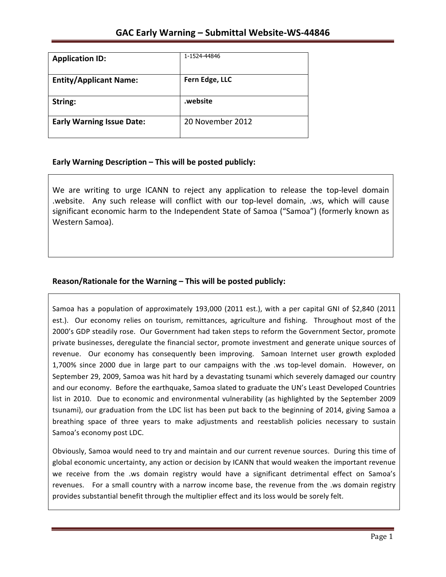| <b>Application ID:</b>           | 1-1524-44846     |
|----------------------------------|------------------|
| <b>Entity/Applicant Name:</b>    | Fern Edge, LLC   |
| String:                          | website.         |
| <b>Early Warning Issue Date:</b> | 20 November 2012 |

## **Early Warning Description – This will be posted publicly:**

We are writing to urge ICANN to reject any application to release the top-level domain .website. Any such release will conflict with our top-level domain, .ws, which will cause significant economic harm to the Independent State of Samoa ("Samoa") (formerly known as Western Samoa).

# **Reason/Rationale for the Warning – This will be posted publicly:**

Samoa has a population of approximately 193,000 (2011 est.), with a per capital GNI of \$2,840 (2011 est.). Our economy relies on tourism, remittances, agriculture and fishing. Throughout most of the 2000's GDP steadily rose. Our Government had taken steps to reform the Government Sector, promote private businesses, deregulate the financial sector, promote investment and generate unique sources of revenue. Our economy has consequently been improving. Samoan Internet user growth exploded 1,700% since 2000 due in large part to our campaigns with the .ws top-level domain. However, on September 29, 2009, Samoa was hit hard by a devastating tsunami which severely damaged our country and our economy. Before the earthquake, Samoa slated to graduate the UN's Least Developed Countries list in 2010. Due to economic and environmental vulnerability (as highlighted by the September 2009 tsunami), our graduation from the LDC list has been put back to the beginning of 2014, giving Samoa a breathing space of three years to make adjustments and reestablish policies necessary to sustain Samoa's economy post LDC.

Obviously, Samoa would need to try and maintain and our current revenue sources. During this time of global economic uncertainty, any action or decision by ICANN that would weaken the important revenue we receive from the .ws domain registry would have a significant detrimental effect on Samoa's revenues. For a small country with a narrow income base, the revenue from the .ws domain registry provides substantial benefit through the multiplier effect and its loss would be sorely felt.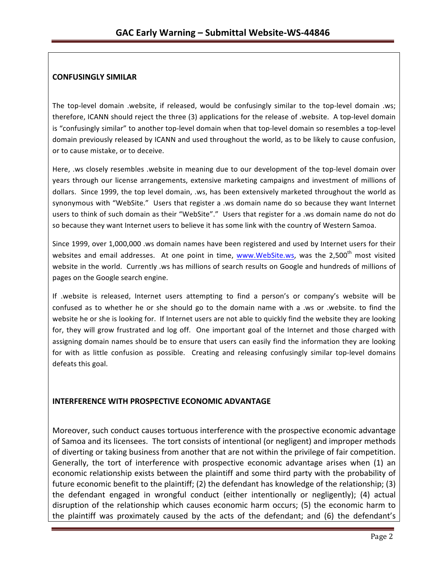### **CONFUSINGLY SIMILAR**

The top-level domain .website, if released, would be confusingly similar to the top-level domain .ws; therefore, ICANN should reject the three (3) applications for the release of .website. A top-level domain is "confusingly similar" to another top-level domain when that top-level domain so resembles a top-level domain previously released by ICANN and used throughout the world, as to be likely to cause confusion, or to cause mistake, or to deceive.

Here, .ws closely resembles .website in meaning due to our development of the top-level domain over years through our license arrangements, extensive marketing campaigns and investment of millions of dollars. Since 1999, the top level domain, .ws, has been extensively marketed throughout the world as synonymous with "WebSite." Users that register a .ws domain name do so because they want Internet users to think of such domain as their "WebSite"." Users that register for a .ws domain name do not do so because they want Internet users to believe it has some link with the country of Western Samoa.

Since 1999, over 1,000,000 .ws domain names have been registered and used by Internet users for their websites and email addresses. At one point in time, www.WebSite.ws, was the 2,500<sup>th</sup> most visited website in the world. Currently .ws has millions of search results on Google and hundreds of millions of pages on the Google search engine.

If .website is released, Internet users attempting to find a person's or company's website will be confused as to whether he or she should go to the domain name with a .ws or .website. to find the website he or she is looking for. If Internet users are not able to quickly find the website they are looking for, they will grow frustrated and log off. One important goal of the Internet and those charged with assigning domain names should be to ensure that users can easily find the information they are looking for with as little confusion as possible. Creating and releasing confusingly similar top-level domains defeats this goal.

## **INTERFERENCE WITH PROSPECTIVE ECONOMIC ADVANTAGE**

Moreover, such conduct causes tortuous interference with the prospective economic advantage of Samoa and its licensees. The tort consists of intentional (or negligent) and improper methods of diverting or taking business from another that are not within the privilege of fair competition. Generally, the tort of interference with prospective economic advantage arises when (1) an economic relationship exists between the plaintiff and some third party with the probability of future economic benefit to the plaintiff; (2) the defendant has knowledge of the relationship; (3) the defendant engaged in wrongful conduct (either intentionally or negligently); (4) actual disruption of the relationship which causes economic harm occurs; (5) the economic harm to the plaintiff was proximately caused by the acts of the defendant; and (6) the defendant's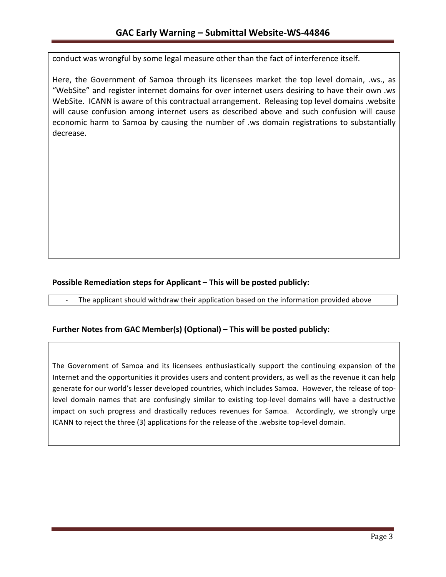conduct was wrongful by some legal measure other than the fact of interference itself.

Here, the Government of Samoa through its licensees market the top level domain, .ws., as "WebSite" and register internet domains for over internet users desiring to have their own .ws WebSite. ICANN is aware of this contractual arrangement. Releasing top level domains .website will cause confusion among internet users as described above and such confusion will cause economic harm to Samoa by causing the number of .ws domain registrations to substantially decrease.

## **Possible Remediation steps for Applicant – This will be posted publicly:**

The applicant should withdraw their application based on the information provided above

## **Further Notes from GAC Member(s) (Optional) – This will be posted publicly:**

The Government of Samoa and its licensees enthusiastically support the continuing expansion of the Internet and the opportunities it provides users and content providers, as well as the revenue it can help generate for our world's lesser developed countries, which includes Samoa. However, the release of toplevel domain names that are confusingly similar to existing top-level domains will have a destructive impact on such progress and drastically reduces revenues for Samoa. Accordingly, we strongly urge ICANN to reject the three (3) applications for the release of the .website top-level domain.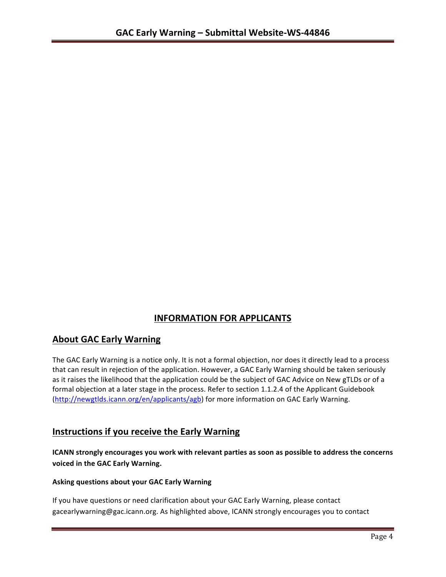# **INFORMATION FOR APPLICANTS**

# **About GAC Early Warning**

The GAC Early Warning is a notice only. It is not a formal objection, nor does it directly lead to a process that can result in rejection of the application. However, a GAC Early Warning should be taken seriously as it raises the likelihood that the application could be the subject of GAC Advice on New gTLDs or of a formal objection at a later stage in the process. Refer to section 1.1.2.4 of the Applicant Guidebook (http://newgtlds.icann.org/en/applicants/agb) for more information on GAC Early Warning.

# **Instructions if you receive the Early Warning**

**ICANN** strongly encourages you work with relevant parties as soon as possible to address the concerns **voiced in the GAC Early Warning.** 

#### **Asking questions about your GAC Early Warning**

If you have questions or need clarification about your GAC Early Warning, please contact gacearlywarning@gac.icann.org. As highlighted above, ICANN strongly encourages you to contact